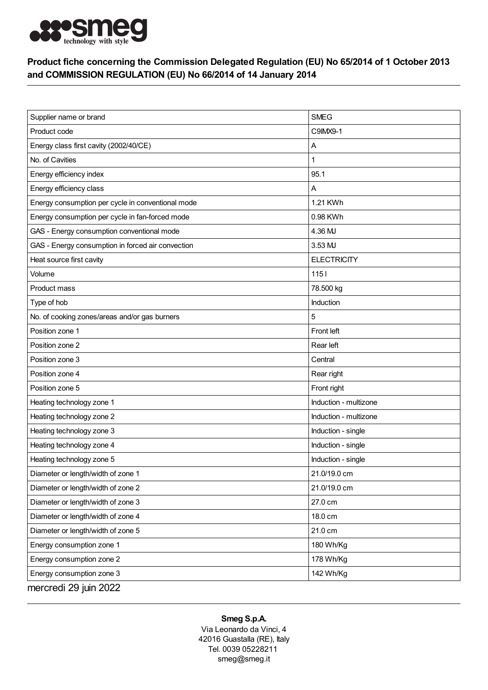

## Product fiche concerning the Commission Delegated Regulation (EU) No 65/2014 of 1 October 2013 and COMMISSION REGULATION (EU) No 66/2014 of 14 January 2014

| Supplier name or brand                            | <b>SMEG</b>           |
|---------------------------------------------------|-----------------------|
| Product code                                      | C9IMX9-1              |
| Energy class first cavity (2002/40/CE)            | Α                     |
| No. of Cavities                                   | 1                     |
| Energy efficiency index                           | 95.1                  |
| Energy efficiency class                           | Α                     |
| Energy consumption per cycle in conventional mode | 1.21 KWh              |
| Energy consumption per cycle in fan-forced mode   | 0.98 KWh              |
| GAS - Energy consumption conventional mode        | 4.36 MJ               |
| GAS - Energy consumption in forced air convection | 3.53 MJ               |
| Heat source first cavity                          | <b>ELECTRICITY</b>    |
| Volume                                            | $1151$                |
| Product mass                                      | 78.500 kg             |
| Type of hob                                       | Induction             |
| No. of cooking zones/areas and/or gas burners     | 5                     |
| Position zone 1                                   | Front left            |
| Position zone 2                                   | Rear left             |
| Position zone 3                                   | Central               |
| Position zone 4                                   | Rear right            |
| Position zone 5                                   | Front right           |
| Heating technology zone 1                         | Induction - multizone |
| Heating technology zone 2                         | Induction - multizone |
| Heating technology zone 3                         | Induction - single    |
| Heating technology zone 4                         | Induction - single    |
| Heating technology zone 5                         | Induction - single    |
| Diameter or length/width of zone 1                | 21.0/19.0 cm          |
| Diameter or length/width of zone 2                | 21.0/19.0 cm          |
| Diameter or length/width of zone 3                | 27.0 cm               |
| Diameter or length/width of zone 4                | 18.0 cm               |
| Diameter or length/width of zone 5                | 21.0 cm               |
| Energy consumption zone 1                         | 180 Wh/Kg             |
| Energy consumption zone 2                         | 178 Wh/Kg             |
| Energy consumption zone 3                         | 142 Wh/Kg             |
| mercredi 29 juin 2022                             |                       |

## Smeg S.p.A.

Via Leonardo da Vinci, 4 42016 Guastalla (RE), Italy Tel. 0039 05228211 smeg@smeg.it